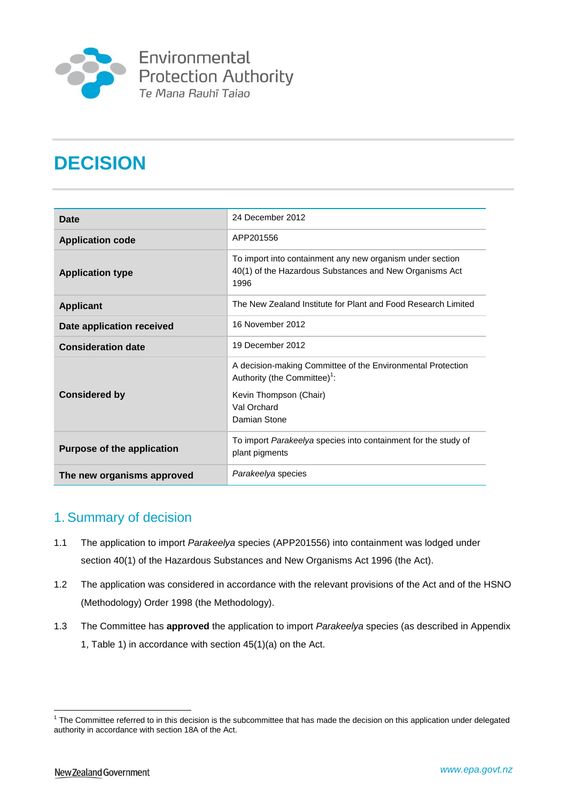

# **DECISION**

| Date                              | 24 December 2012                                                                                                                                                 |
|-----------------------------------|------------------------------------------------------------------------------------------------------------------------------------------------------------------|
| <b>Application code</b>           | APP201556                                                                                                                                                        |
| <b>Application type</b>           | To import into containment any new organism under section<br>40(1) of the Hazardous Substances and New Organisms Act<br>1996                                     |
| <b>Applicant</b>                  | The New Zealand Institute for Plant and Food Research Limited                                                                                                    |
| Date application received         | 16 November 2012                                                                                                                                                 |
| <b>Consideration date</b>         | 19 December 2012                                                                                                                                                 |
| <b>Considered by</b>              | A decision-making Committee of the Environmental Protection<br>Authority (the Committee) <sup>1</sup> :<br>Kevin Thompson (Chair)<br>Val Orchard<br>Damian Stone |
| <b>Purpose of the application</b> | To import Parakeelya species into containment for the study of<br>plant pigments                                                                                 |
| The new organisms approved        | Parakeelya species                                                                                                                                               |

### 1. Summary of decision

- 1.1 The application to import *Parakeelya* species (APP201556) into containment was lodged under section 40(1) of the Hazardous Substances and New Organisms Act 1996 (the Act).
- 1.2 The application was considered in accordance with the relevant provisions of the Act and of the HSNO (Methodology) Order 1998 (the Methodology).
- 1.3 The Committee has **approved** the application to import *Parakeelya* species (as described in Appendix 1, Table 1) in accordance with section 45(1)(a) on the Act.

<u>.</u>

<sup>&</sup>lt;sup>1</sup> The Committee referred to in this decision is the subcommittee that has made the decision on this application under delegated authority in accordance with section 18A of the Act.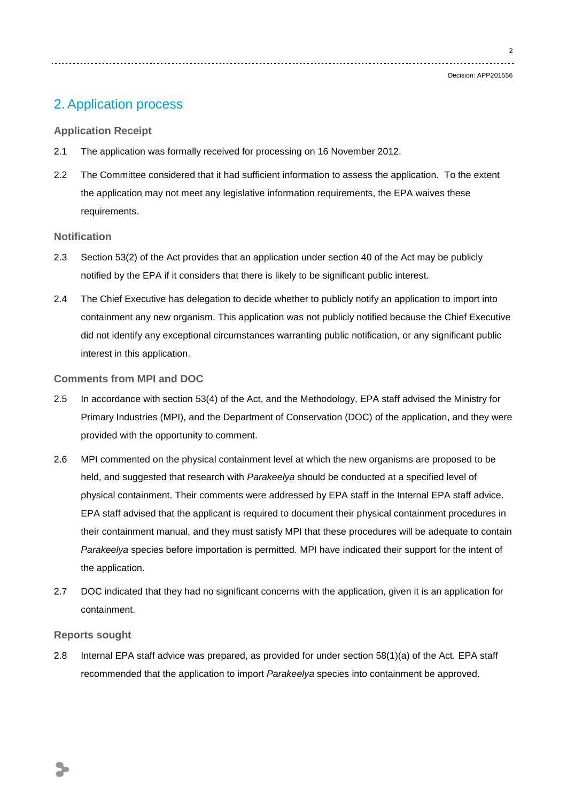$\overline{2}$ 

Decision: APP201556

### 2. Application process

### **Application Receipt**

- 2.1 The application was formally received for processing on 16 November 2012.
- 2.2 The Committee considered that it had sufficient information to assess the application. To the extent the application may not meet any legislative information requirements, the EPA waives these requirements.

### **Notification**

- 2.3 Section 53(2) of the Act provides that an application under section 40 of the Act may be publicly notified by the EPA if it considers that there is likely to be significant public interest.
- 2.4 The Chief Executive has delegation to decide whether to publicly notify an application to import into containment any new organism. This application was not publicly notified because the Chief Executive did not identify any exceptional circumstances warranting public notification, or any significant public interest in this application.

#### **Comments from MPI and DOC**

- 2.5 In accordance with section 53(4) of the Act, and the Methodology, EPA staff advised the Ministry for Primary Industries (MPI), and the Department of Conservation (DOC) of the application, and they were provided with the opportunity to comment.
- 2.6 MPI commented on the physical containment level at which the new organisms are proposed to be held, and suggested that research with *Parakeelya* should be conducted at a specified level of physical containment. Their comments were addressed by EPA staff in the Internal EPA staff advice. EPA staff advised that the applicant is required to document their physical containment procedures in their containment manual, and they must satisfy MPI that these procedures will be adequate to contain *Parakeelya* species before importation is permitted. MPI have indicated their support for the intent of the application.
- 2.7 DOC indicated that they had no significant concerns with the application, given it is an application for containment.

#### **Reports sought**

2.8 Internal EPA staff advice was prepared, as provided for under section 58(1)(a) of the Act. EPA staff recommended that the application to import *Parakeelya* species into containment be approved.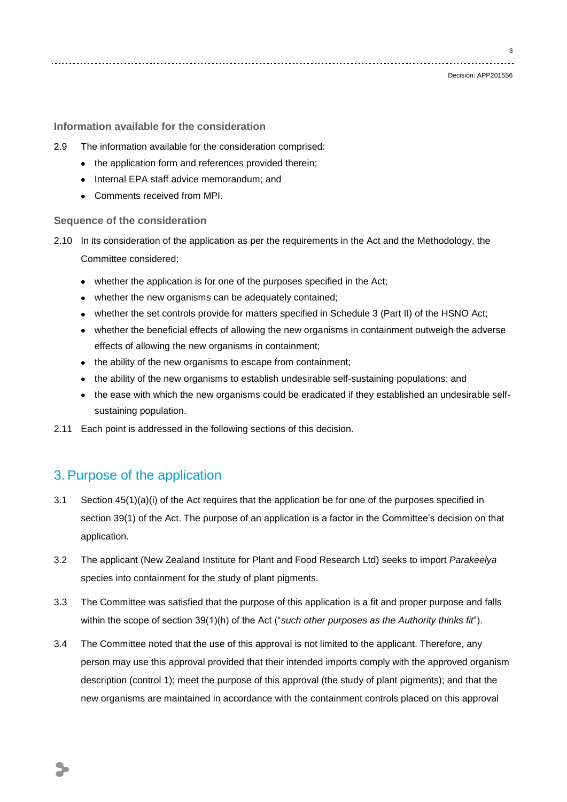3

#### **Information available for the consideration**

- 2.9 The information available for the consideration comprised:
	- the application form and references provided therein;
	- Internal EPA staff advice memorandum; and
	- Comments received from MPI.

#### **Sequence of the consideration**

- 2.10 In its consideration of the application as per the requirements in the Act and the Methodology, the Committee considered;
	- whether the application is for one of the purposes specified in the Act;
	- whether the new organisms can be adequately contained:
	- whether the set controls provide for matters specified in Schedule 3 (Part II) of the HSNO Act;
	- whether the beneficial effects of allowing the new organisms in containment outweigh the adverse effects of allowing the new organisms in containment;
	- the ability of the new organisms to escape from containment;
	- the ability of the new organisms to establish undesirable self-sustaining populations; and
	- the ease with which the new organisms could be eradicated if they established an undesirable selfsustaining population.
- 2.11 Each point is addressed in the following sections of this decision.

### 3. Purpose of the application

- 3.1 Section 45(1)(a)(i) of the Act requires that the application be for one of the purposes specified in section 39(1) of the Act. The purpose of an application is a factor in the Committee's decision on that application.
- 3.2 The applicant (New Zealand Institute for Plant and Food Research Ltd) seeks to import *Parakeelya* species into containment for the study of plant pigments.
- 3.3 The Committee was satisfied that the purpose of this application is a fit and proper purpose and falls within the scope of section 39(1)(h) of the Act ("*such other purposes as the Authority thinks fit*").
- 3.4 The Committee noted that the use of this approval is not limited to the applicant. Therefore, any person may use this approval provided that their intended imports comply with the approved organism description (control 1); meet the purpose of this approval (the study of plant pigments); and that the new organisms are maintained in accordance with the containment controls placed on this approval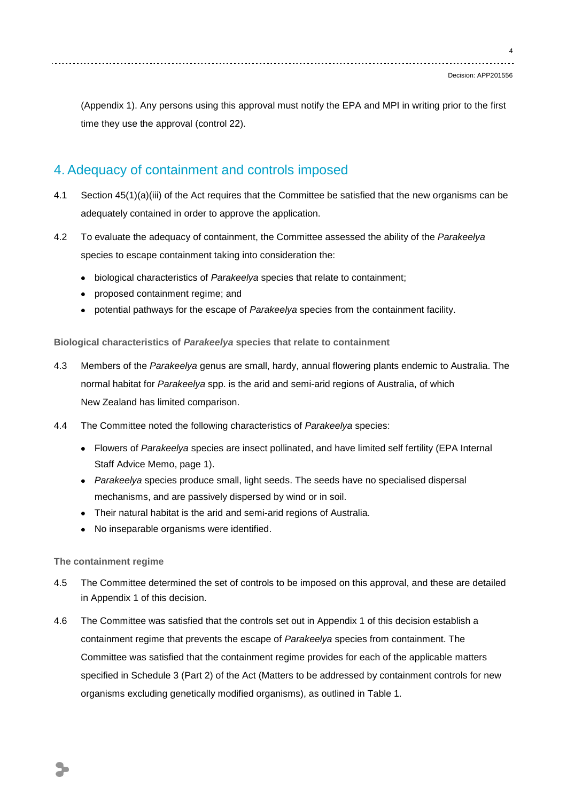4

(Appendix 1). Any persons using this approval must notify the EPA and MPI in writing prior to the first time they use the approval (control 22).

### 4. Adequacy of containment and controls imposed

- 4.1 Section 45(1)(a)(iii) of the Act requires that the Committee be satisfied that the new organisms can be adequately contained in order to approve the application.
- 4.2 To evaluate the adequacy of containment, the Committee assessed the ability of the *Parakeelya* species to escape containment taking into consideration the:
	- biological characteristics of *Parakeelya* species that relate to containment;
	- proposed containment regime; and
	- potential pathways for the escape of *Parakeelya* species from the containment facility.

**Biological characteristics of** *Parakeelya* **species that relate to containment**

- 4.3 Members of the *Parakeelya* genus are small, hardy, annual flowering plants endemic to Australia. The normal habitat for *Parakeelya* spp. is the arid and semi-arid regions of Australia, of which New Zealand has limited comparison.
- 4.4 The Committee noted the following characteristics of *Parakeelya* species:
	- Flowers of *Parakeelya* species are insect pollinated, and have limited self fertility (EPA Internal Staff Advice Memo, page 1).
	- *Parakeelya* species produce small, light seeds. The seeds have no specialised dispersal mechanisms, and are passively dispersed by wind or in soil.
	- Their natural habitat is the arid and semi-arid regions of Australia.
	- No inseparable organisms were identified.

### **The containment regime**

- 4.5 The Committee determined the set of controls to be imposed on this approval, and these are detailed in Appendix 1 of this decision.
- 4.6 The Committee was satisfied that the controls set out in Appendix 1 of this decision establish a containment regime that prevents the escape of *Parakeelya* species from containment. The Committee was satisfied that the containment regime provides for each of the applicable matters specified in Schedule 3 (Part 2) of the Act (Matters to be addressed by containment controls for new organisms excluding genetically modified organisms), as outlined in Table 1.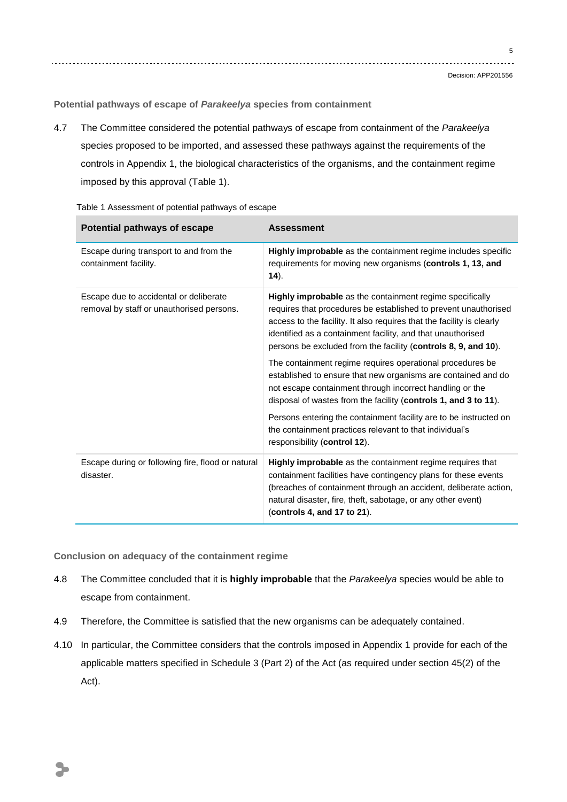5

**Potential pathways of escape of** *Parakeelya* **species from containment**

4.7 The Committee considered the potential pathways of escape from containment of the *Parakeelya* species proposed to be imported, and assessed these pathways against the requirements of the controls in Appendix 1, the biological characteristics of the organisms, and the containment regime imposed by this approval (Table 1).

| Potential pathways of escape                                                        | <b>Assessment</b>                                                                                                                                                                                                                                                                                                                            |
|-------------------------------------------------------------------------------------|----------------------------------------------------------------------------------------------------------------------------------------------------------------------------------------------------------------------------------------------------------------------------------------------------------------------------------------------|
| Escape during transport to and from the<br>containment facility.                    | Highly improbable as the containment regime includes specific<br>requirements for moving new organisms (controls 1, 13, and<br>(14).                                                                                                                                                                                                         |
| Escape due to accidental or deliberate<br>removal by staff or unauthorised persons. | <b>Highly improbable</b> as the containment regime specifically<br>requires that procedures be established to prevent unauthorised<br>access to the facility. It also requires that the facility is clearly<br>identified as a containment facility, and that unauthorised<br>persons be excluded from the facility (controls 8, 9, and 10). |
|                                                                                     | The containment regime requires operational procedures be<br>established to ensure that new organisms are contained and do<br>not escape containment through incorrect handling or the<br>disposal of wastes from the facility (controls 1, and 3 to 11).                                                                                    |
|                                                                                     | Persons entering the containment facility are to be instructed on<br>the containment practices relevant to that individual's<br>responsibility (control 12).                                                                                                                                                                                 |
| Escape during or following fire, flood or natural<br>disaster.                      | Highly improbable as the containment regime requires that<br>containment facilities have contingency plans for these events<br>(breaches of containment through an accident, deliberate action,<br>natural disaster, fire, theft, sabotage, or any other event)<br>(controls 4, and 17 to 21).                                               |

Table 1 Assessment of potential pathways of escape

**Conclusion on adequacy of the containment regime**

- 4.8 The Committee concluded that it is **highly improbable** that the *Parakeelya* species would be able to escape from containment.
- 4.9 Therefore, the Committee is satisfied that the new organisms can be adequately contained.
- 4.10 In particular, the Committee considers that the controls imposed in Appendix 1 provide for each of the applicable matters specified in Schedule 3 (Part 2) of the Act (as required under section 45(2) of the Act).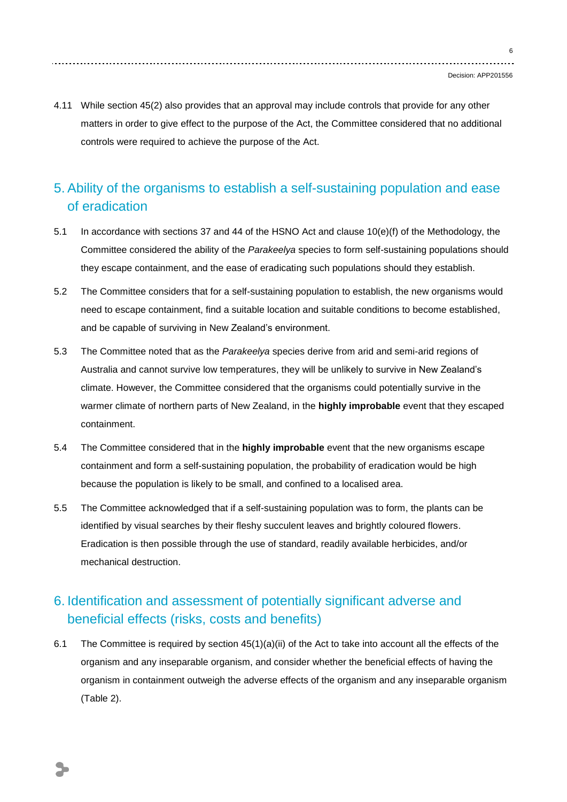4.11 While section 45(2) also provides that an approval may include controls that provide for any other matters in order to give effect to the purpose of the Act, the Committee considered that no additional controls were required to achieve the purpose of the Act.

## 5. Ability of the organisms to establish a self-sustaining population and ease of eradication

- 5.1 In accordance with sections 37 and 44 of the HSNO Act and clause 10(e)(f) of the Methodology, the Committee considered the ability of the *Parakeelya* species to form self-sustaining populations should they escape containment, and the ease of eradicating such populations should they establish.
- 5.2 The Committee considers that for a self-sustaining population to establish, the new organisms would need to escape containment, find a suitable location and suitable conditions to become established, and be capable of surviving in New Zealand's environment.
- 5.3 The Committee noted that as the *Parakeelya* species derive from arid and semi-arid regions of Australia and cannot survive low temperatures, they will be unlikely to survive in New Zealand's climate. However, the Committee considered that the organisms could potentially survive in the warmer climate of northern parts of New Zealand, in the **highly improbable** event that they escaped containment.
- 5.4 The Committee considered that in the **highly improbable** event that the new organisms escape containment and form a self-sustaining population, the probability of eradication would be high because the population is likely to be small, and confined to a localised area.
- 5.5 The Committee acknowledged that if a self-sustaining population was to form, the plants can be identified by visual searches by their fleshy succulent leaves and brightly coloured flowers. Eradication is then possible through the use of standard, readily available herbicides, and/or mechanical destruction.

## 6. Identification and assessment of potentially significant adverse and beneficial effects (risks, costs and benefits)

6.1 The Committee is required by section 45(1)(a)(ii) of the Act to take into account all the effects of the organism and any inseparable organism, and consider whether the beneficial effects of having the organism in containment outweigh the adverse effects of the organism and any inseparable organism (Table 2).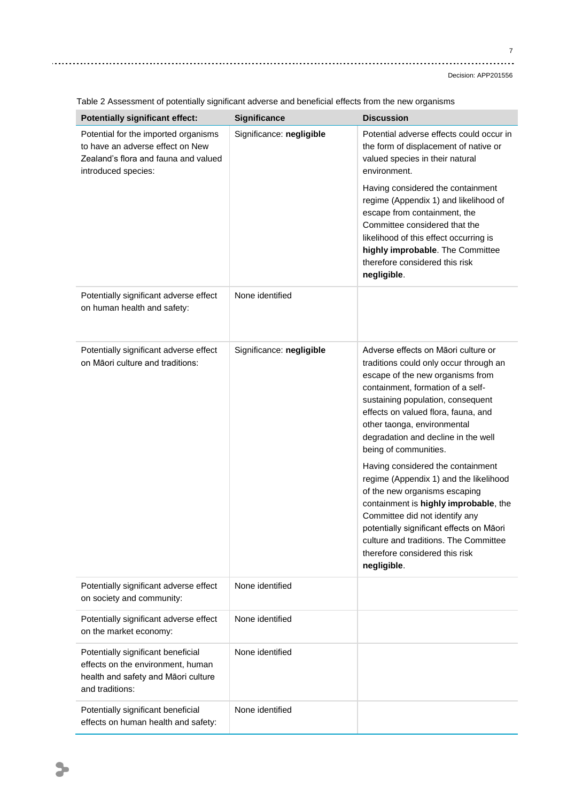Decision: APP201556

| <b>Potentially significant effect:</b>                                                                                                  | <b>Significance</b>      | <b>Discussion</b>                                                                                                                                                                                                                                                                                                                                                                                                                                                                                                                                                                                                                                                  |
|-----------------------------------------------------------------------------------------------------------------------------------------|--------------------------|--------------------------------------------------------------------------------------------------------------------------------------------------------------------------------------------------------------------------------------------------------------------------------------------------------------------------------------------------------------------------------------------------------------------------------------------------------------------------------------------------------------------------------------------------------------------------------------------------------------------------------------------------------------------|
| Potential for the imported organisms<br>to have an adverse effect on New<br>Zealand's flora and fauna and valued<br>introduced species: | Significance: negligible | Potential adverse effects could occur in<br>the form of displacement of native or<br>valued species in their natural<br>environment.                                                                                                                                                                                                                                                                                                                                                                                                                                                                                                                               |
|                                                                                                                                         |                          | Having considered the containment<br>regime (Appendix 1) and likelihood of<br>escape from containment, the<br>Committee considered that the<br>likelihood of this effect occurring is<br>highly improbable. The Committee<br>therefore considered this risk<br>negligible.                                                                                                                                                                                                                                                                                                                                                                                         |
| Potentially significant adverse effect<br>on human health and safety:                                                                   | None identified          |                                                                                                                                                                                                                                                                                                                                                                                                                                                                                                                                                                                                                                                                    |
| Potentially significant adverse effect<br>on Māori culture and traditions:                                                              | Significance: negligible | Adverse effects on Māori culture or<br>traditions could only occur through an<br>escape of the new organisms from<br>containment, formation of a self-<br>sustaining population, consequent<br>effects on valued flora, fauna, and<br>other taonga, environmental<br>degradation and decline in the well<br>being of communities.<br>Having considered the containment<br>regime (Appendix 1) and the likelihood<br>of the new organisms escaping<br>containment is highly improbable, the<br>Committee did not identify any<br>potentially significant effects on Māori<br>culture and traditions. The Committee<br>therefore considered this risk<br>negligible. |
| Potentially significant adverse effect<br>on society and community:                                                                     | None identified          |                                                                                                                                                                                                                                                                                                                                                                                                                                                                                                                                                                                                                                                                    |
| Potentially significant adverse effect<br>on the market economy:                                                                        | None identified          |                                                                                                                                                                                                                                                                                                                                                                                                                                                                                                                                                                                                                                                                    |
| Potentially significant beneficial<br>effects on the environment, human<br>health and safety and Māori culture<br>and traditions:       | None identified          |                                                                                                                                                                                                                                                                                                                                                                                                                                                                                                                                                                                                                                                                    |
| Potentially significant beneficial<br>effects on human health and safety:                                                               | None identified          |                                                                                                                                                                                                                                                                                                                                                                                                                                                                                                                                                                                                                                                                    |

Table 2 Assessment of potentially significant adverse and beneficial effects from the new organisms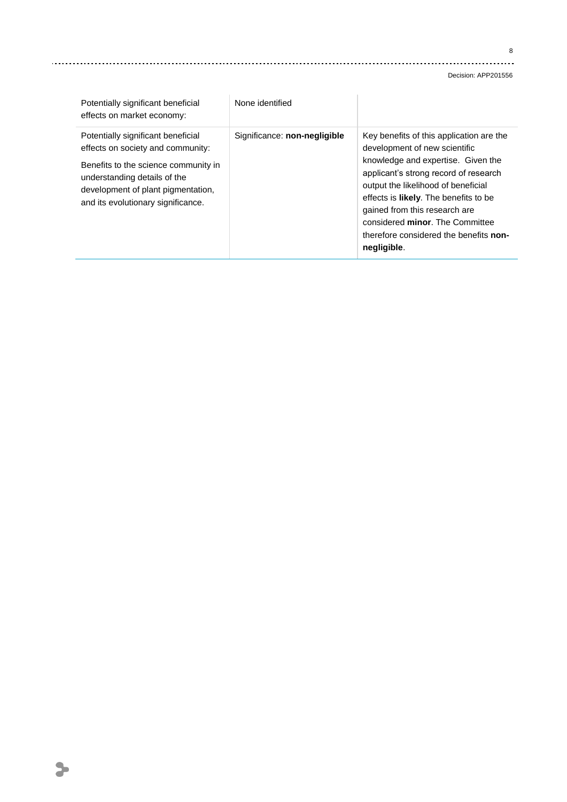#### 

Decision: APP201556

| Potentially significant beneficial<br>effects on market economy:                                                                                                                                                            | None identified              |                                                                                                                                                                                                                                                                                                                                                                               |
|-----------------------------------------------------------------------------------------------------------------------------------------------------------------------------------------------------------------------------|------------------------------|-------------------------------------------------------------------------------------------------------------------------------------------------------------------------------------------------------------------------------------------------------------------------------------------------------------------------------------------------------------------------------|
| Potentially significant beneficial<br>effects on society and community:<br>Benefits to the science community in<br>understanding details of the<br>development of plant pigmentation,<br>and its evolutionary significance. | Significance: non-negligible | Key benefits of this application are the<br>development of new scientific<br>knowledge and expertise. Given the<br>applicant's strong record of research<br>output the likelihood of beneficial<br>effects is <b>likely</b> . The benefits to be<br>gained from this research are<br>considered minor. The Committee<br>therefore considered the benefits non-<br>negligible. |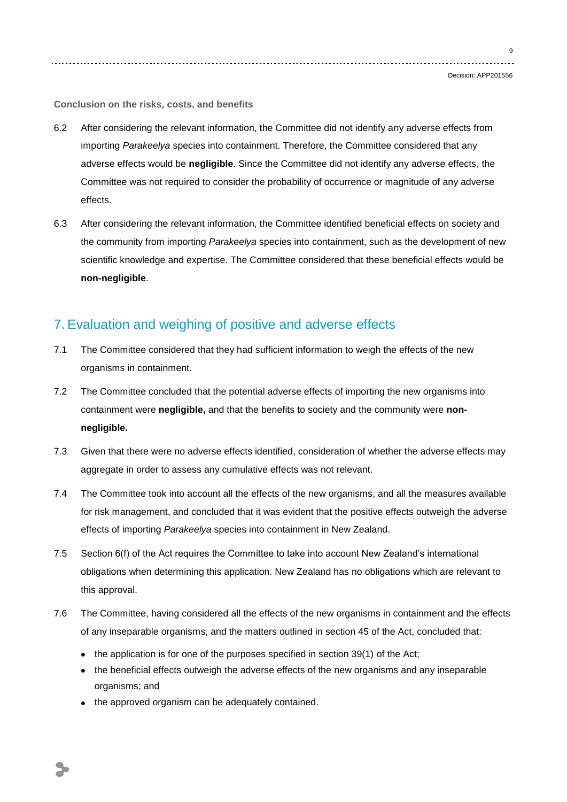9

**Conclusion on the risks, costs, and benefits**

- 6.2 After considering the relevant information, the Committee did not identify any adverse effects from importing *Parakeelya* species into containment. Therefore, the Committee considered that any adverse effects would be **negligible**. Since the Committee did not identify any adverse effects, the Committee was not required to consider the probability of occurrence or magnitude of any adverse effects.
- 6.3 After considering the relevant information, the Committee identified beneficial effects on society and the community from importing *Parakeelya* species into containment, such as the development of new scientific knowledge and expertise. The Committee considered that these beneficial effects would be **non-negligible**.

### 7. Evaluation and weighing of positive and adverse effects

- 7.1 The Committee considered that they had sufficient information to weigh the effects of the new organisms in containment.
- 7.2 The Committee concluded that the potential adverse effects of importing the new organisms into containment were **negligible,** and that the benefits to society and the community were **nonnegligible.**
- 7.3 Given that there were no adverse effects identified, consideration of whether the adverse effects may aggregate in order to assess any cumulative effects was not relevant.
- 7.4 The Committee took into account all the effects of the new organisms, and all the measures available for risk management, and concluded that it was evident that the positive effects outweigh the adverse effects of importing *Parakeelya* species into containment in New Zealand.
- 7.5 Section 6(f) of the Act requires the Committee to take into account New Zealand's international obligations when determining this application. New Zealand has no obligations which are relevant to this approval.
- 7.6 The Committee, having considered all the effects of the new organisms in containment and the effects of any inseparable organisms, and the matters outlined in section 45 of the Act, concluded that:
	- $\bullet$  the application is for one of the purposes specified in section 39(1) of the Act;
	- the beneficial effects outweigh the adverse effects of the new organisms and any inseparable organisms; and
	- the approved organism can be adequately contained.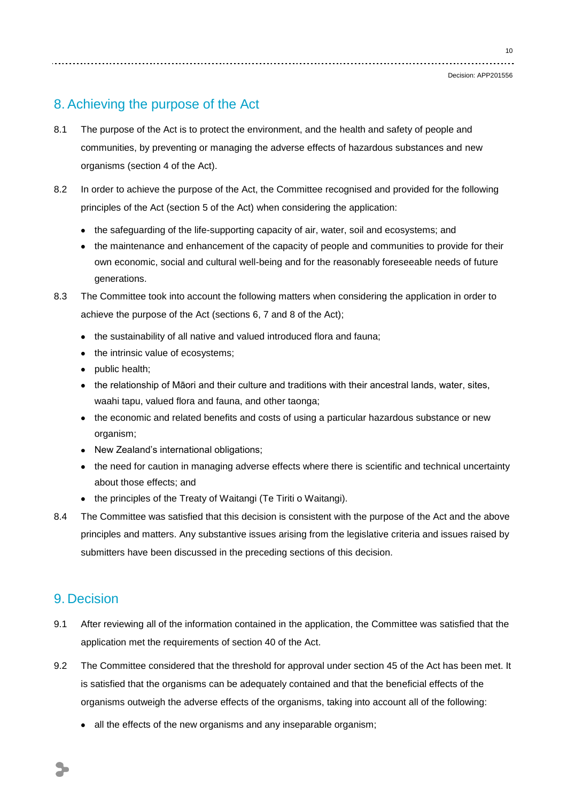### 8. Achieving the purpose of the Act

- 8.1 The purpose of the Act is to protect the environment, and the health and safety of people and communities, by preventing or managing the adverse effects of hazardous substances and new organisms (section 4 of the Act).
- 8.2 In order to achieve the purpose of the Act, the Committee recognised and provided for the following principles of the Act (section 5 of the Act) when considering the application:
	- the safeguarding of the life-supporting capacity of air, water, soil and ecosystems; and
	- the maintenance and enhancement of the capacity of people and communities to provide for their own economic, social and cultural well-being and for the reasonably foreseeable needs of future generations.
- 8.3 The Committee took into account the following matters when considering the application in order to achieve the purpose of the Act (sections 6, 7 and 8 of the Act);
	- the sustainability of all native and valued introduced flora and fauna;
	- the intrinsic value of ecosystems;
	- public health;
	- the relationship of Māori and their culture and traditions with their ancestral lands, water, sites, waahi tapu, valued flora and fauna, and other taonga;
	- the economic and related benefits and costs of using a particular hazardous substance or new organism;
	- New Zealand's international obligations;
	- the need for caution in managing adverse effects where there is scientific and technical uncertainty about those effects; and
	- the principles of the Treaty of Waitangi (Te Tiriti o Waitangi).
- 8.4 The Committee was satisfied that this decision is consistent with the purpose of the Act and the above principles and matters. Any substantive issues arising from the legislative criteria and issues raised by submitters have been discussed in the preceding sections of this decision.

### 9. Decision

- 9.1 After reviewing all of the information contained in the application, the Committee was satisfied that the application met the requirements of section 40 of the Act.
- 9.2 The Committee considered that the threshold for approval under section 45 of the Act has been met. It is satisfied that the organisms can be adequately contained and that the beneficial effects of the organisms outweigh the adverse effects of the organisms, taking into account all of the following:
	- all the effects of the new organisms and any inseparable organism;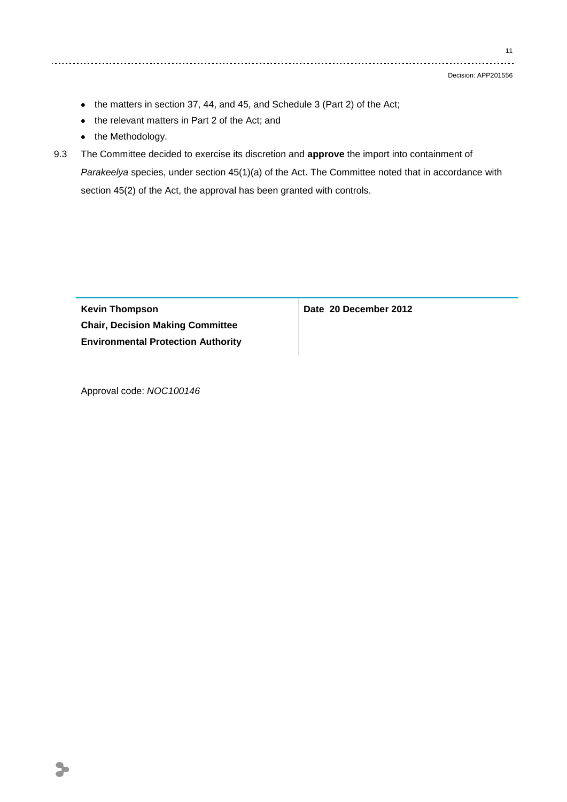Decision: APP201556

- the matters in section 37, 44, and 45, and Schedule 3 (Part 2) of the Act;
- the relevant matters in Part 2 of the Act; and
- the Methodology.
- 9.3 The Committee decided to exercise its discretion and **approve** the import into containment of *Parakeelya* species, under section 45(1)(a) of the Act. The Committee noted that in accordance with section 45(2) of the Act, the approval has been granted with controls.

**Kevin Thompson Chair, Decision Making Committee Environmental Protection Authority** **Date 20 December 2012**

Approval code: *NOC100146*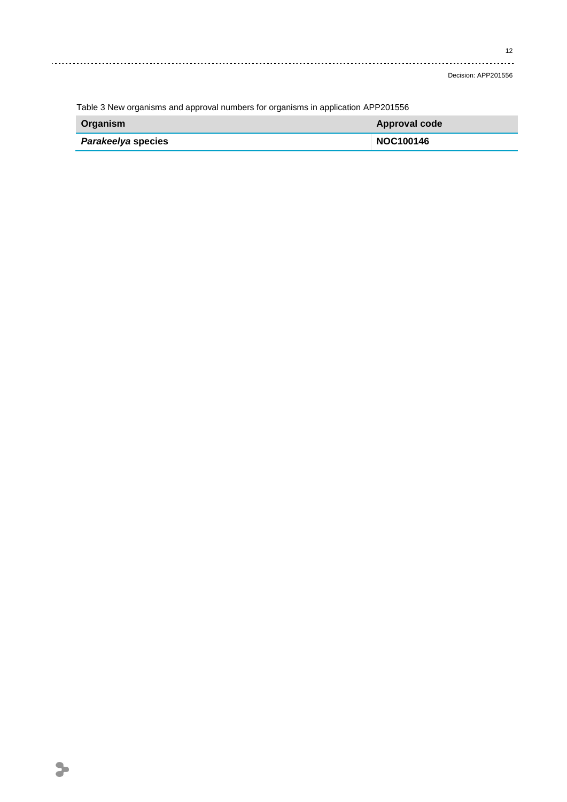Decision: APP201556

| Table 3 New Organisms and approvantiumpers for Organisms in application AFFZ01330 |                  |
|-----------------------------------------------------------------------------------|------------------|
| Organism                                                                          | Approval code    |
| <i>Parakeelya</i> species                                                         | <b>NOC100146</b> |

Table 3 New organisms and approval numbers for organisms in application APP201556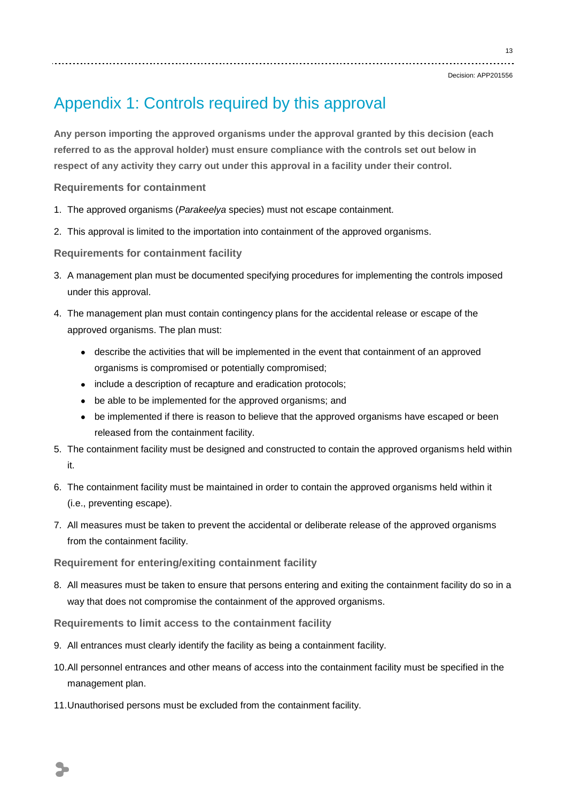13

# Appendix 1: Controls required by this approval

**Any person importing the approved organisms under the approval granted by this decision (each referred to as the approval holder) must ensure compliance with the controls set out below in respect of any activity they carry out under this approval in a facility under their control.**

**Requirements for containment**

- 1. The approved organisms (*Parakeelya* species) must not escape containment.
- 2. This approval is limited to the importation into containment of the approved organisms.

**Requirements for containment facility**

- 3. A management plan must be documented specifying procedures for implementing the controls imposed under this approval.
- 4. The management plan must contain contingency plans for the accidental release or escape of the approved organisms. The plan must:
	- describe the activities that will be implemented in the event that containment of an approved organisms is compromised or potentially compromised;
	- include a description of recapture and eradication protocols;
	- be able to be implemented for the approved organisms; and
	- be implemented if there is reason to believe that the approved organisms have escaped or been released from the containment facility.
- 5. The containment facility must be designed and constructed to contain the approved organisms held within it.
- 6. The containment facility must be maintained in order to contain the approved organisms held within it (i.e., preventing escape).
- 7. All measures must be taken to prevent the accidental or deliberate release of the approved organisms from the containment facility.

**Requirement for entering/exiting containment facility**

8. All measures must be taken to ensure that persons entering and exiting the containment facility do so in a way that does not compromise the containment of the approved organisms.

**Requirements to limit access to the containment facility**

- 9. All entrances must clearly identify the facility as being a containment facility.
- 10.All personnel entrances and other means of access into the containment facility must be specified in the management plan.
- 11.Unauthorised persons must be excluded from the containment facility.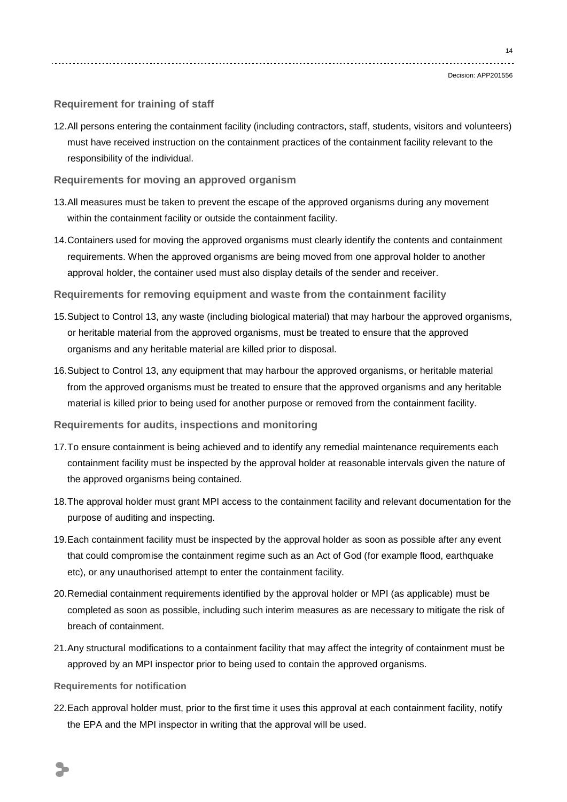### **Requirement for training of staff**

12.All persons entering the containment facility (including contractors, staff, students, visitors and volunteers) must have received instruction on the containment practices of the containment facility relevant to the responsibility of the individual.

#### **Requirements for moving an approved organism**

- 13.All measures must be taken to prevent the escape of the approved organisms during any movement within the containment facility or outside the containment facility.
- 14.Containers used for moving the approved organisms must clearly identify the contents and containment requirements. When the approved organisms are being moved from one approval holder to another approval holder, the container used must also display details of the sender and receiver.
- **Requirements for removing equipment and waste from the containment facility**
- 15.Subject to Control 13, any waste (including biological material) that may harbour the approved organisms, or heritable material from the approved organisms, must be treated to ensure that the approved organisms and any heritable material are killed prior to disposal.
- 16.Subject to Control 13, any equipment that may harbour the approved organisms, or heritable material from the approved organisms must be treated to ensure that the approved organisms and any heritable material is killed prior to being used for another purpose or removed from the containment facility.

#### **Requirements for audits, inspections and monitoring**

- 17.To ensure containment is being achieved and to identify any remedial maintenance requirements each containment facility must be inspected by the approval holder at reasonable intervals given the nature of the approved organisms being contained.
- 18.The approval holder must grant MPI access to the containment facility and relevant documentation for the purpose of auditing and inspecting.
- 19.Each containment facility must be inspected by the approval holder as soon as possible after any event that could compromise the containment regime such as an Act of God (for example flood, earthquake etc), or any unauthorised attempt to enter the containment facility.
- 20.Remedial containment requirements identified by the approval holder or MPI (as applicable) must be completed as soon as possible, including such interim measures as are necessary to mitigate the risk of breach of containment.
- 21.Any structural modifications to a containment facility that may affect the integrity of containment must be approved by an MPI inspector prior to being used to contain the approved organisms.
- **Requirements for notification**
- 22.Each approval holder must, prior to the first time it uses this approval at each containment facility, notify the EPA and the MPI inspector in writing that the approval will be used.